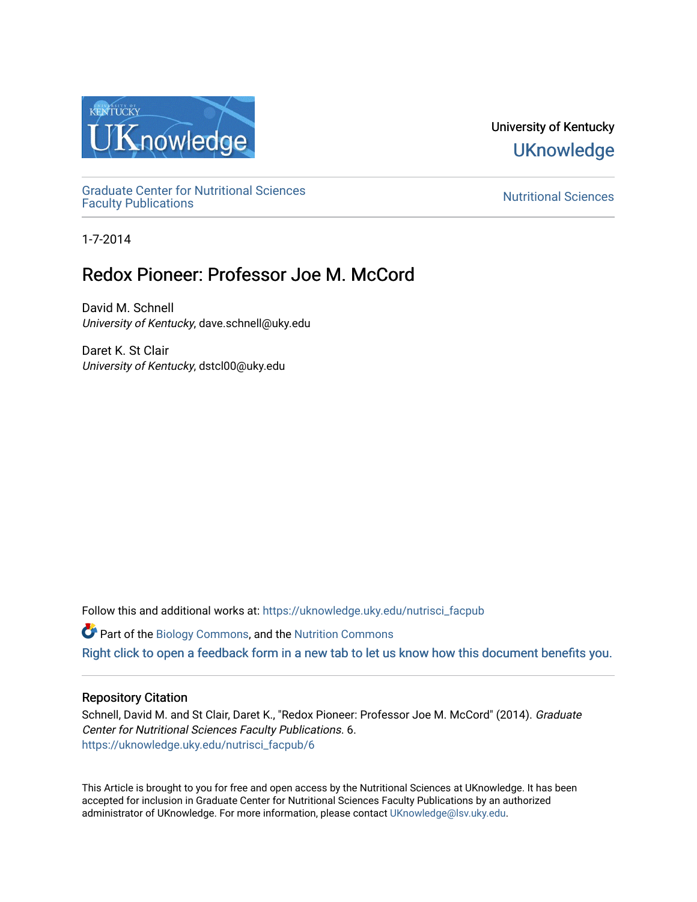

University of Kentucky **UKnowledge** 

[Graduate Center for Nutritional Sciences](https://uknowledge.uky.edu/nutrisci_facpub)  Graduate Center for Nutritional Sciences<br>[Faculty Publications](https://uknowledge.uky.edu/nutrisci_facpub)

1-7-2014

# Redox Pioneer: Professor Joe M. McCord

David M. Schnell University of Kentucky, dave.schnell@uky.edu

Daret K. St Clair University of Kentucky, dstcl00@uky.edu

Follow this and additional works at: [https://uknowledge.uky.edu/nutrisci\\_facpub](https://uknowledge.uky.edu/nutrisci_facpub?utm_source=uknowledge.uky.edu%2Fnutrisci_facpub%2F6&utm_medium=PDF&utm_campaign=PDFCoverPages) 

**C** Part of the [Biology Commons,](http://network.bepress.com/hgg/discipline/41?utm_source=uknowledge.uky.edu%2Fnutrisci_facpub%2F6&utm_medium=PDF&utm_campaign=PDFCoverPages) and the Nutrition Commons

[Right click to open a feedback form in a new tab to let us know how this document benefits you.](https://uky.az1.qualtrics.com/jfe/form/SV_9mq8fx2GnONRfz7)

# Repository Citation

Schnell, David M. and St Clair, Daret K., "Redox Pioneer: Professor Joe M. McCord" (2014). Graduate Center for Nutritional Sciences Faculty Publications. 6. [https://uknowledge.uky.edu/nutrisci\\_facpub/6](https://uknowledge.uky.edu/nutrisci_facpub/6?utm_source=uknowledge.uky.edu%2Fnutrisci_facpub%2F6&utm_medium=PDF&utm_campaign=PDFCoverPages) 

This Article is brought to you for free and open access by the Nutritional Sciences at UKnowledge. It has been accepted for inclusion in Graduate Center for Nutritional Sciences Faculty Publications by an authorized administrator of UKnowledge. For more information, please contact [UKnowledge@lsv.uky.edu](mailto:UKnowledge@lsv.uky.edu).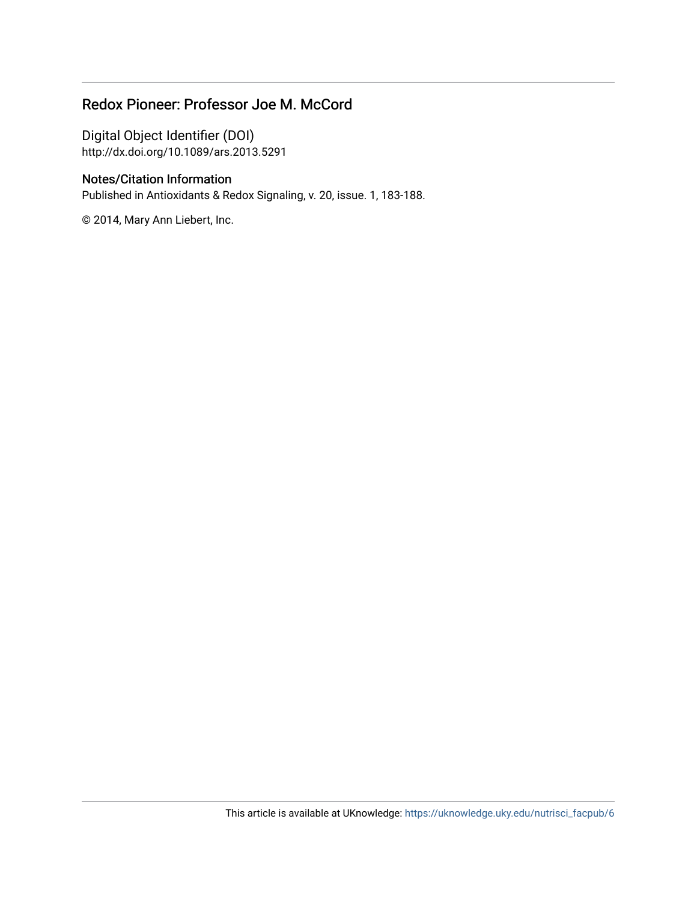# Redox Pioneer: Professor Joe M. McCord

Digital Object Identifier (DOI) http://dx.doi.org/10.1089/ars.2013.5291

# Notes/Citation Information

Published in Antioxidants & Redox Signaling, v. 20, issue. 1, 183-188.

© 2014, Mary Ann Liebert, Inc.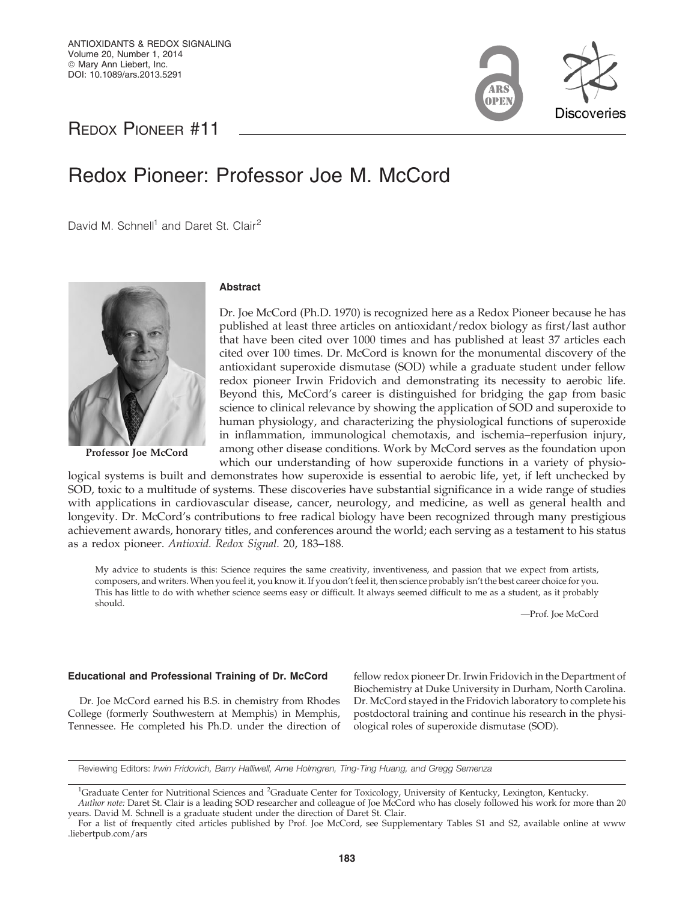

# REDOX PIONEER #11

# Redox Pioneer: Professor Joe M. McCord

David M. Schnell<sup>1</sup> and Daret St. Clair<sup>2</sup>



Professor Joe McCord

### **Abstract**

Dr. Joe McCord (Ph.D. 1970) is recognized here as a Redox Pioneer because he has published at least three articles on antioxidant/redox biology as first/last author that have been cited over 1000 times and has published at least 37 articles each cited over 100 times. Dr. McCord is known for the monumental discovery of the antioxidant superoxide dismutase (SOD) while a graduate student under fellow redox pioneer Irwin Fridovich and demonstrating its necessity to aerobic life. Beyond this, McCord's career is distinguished for bridging the gap from basic science to clinical relevance by showing the application of SOD and superoxide to human physiology, and characterizing the physiological functions of superoxide in inflammation, immunological chemotaxis, and ischemia–reperfusion injury, among other disease conditions. Work by McCord serves as the foundation upon which our understanding of how superoxide functions in a variety of physio-

logical systems is built and demonstrates how superoxide is essential to aerobic life, yet, if left unchecked by SOD, toxic to a multitude of systems. These discoveries have substantial significance in a wide range of studies with applications in cardiovascular disease, cancer, neurology, and medicine, as well as general health and longevity. Dr. McCord's contributions to free radical biology have been recognized through many prestigious achievement awards, honorary titles, and conferences around the world; each serving as a testament to his status as a redox pioneer. Antioxid. Redox Signal. 20, 183–188.

My advice to students is this: Science requires the same creativity, inventiveness, and passion that we expect from artists, composers, and writers. When you feel it, you know it. If you don't feel it, then science probably isn't the best career choice for you. This has little to do with whether science seems easy or difficult. It always seemed difficult to me as a student, as it probably should.

—Prof. Joe McCord

# Educational and Professional Training of Dr. McCord

Dr. Joe McCord earned his B.S. in chemistry from Rhodes College (formerly Southwestern at Memphis) in Memphis, Tennessee. He completed his Ph.D. under the direction of

fellow redox pioneer Dr. Irwin Fridovich in the Department of Biochemistry at Duke University in Durham, North Carolina. Dr. McCord stayed in the Fridovich laboratory to complete his postdoctoral training and continue his research in the physiological roles of superoxide dismutase (SOD).

Reviewing Editors: Irwin Fridovich, Barry Halliwell, Arne Holmgren, Ting-Ting Huang, and Gregg Semenza

<sup>&</sup>lt;sup>1</sup>Graduate Center for Nutritional Sciences and <sup>2</sup>Graduate Center for Toxicology, University of Kentucky, Lexington, Kentucky.

Author note: Daret St. Clair is a leading SOD researcher and colleague of Joe McCord who has closely followed his work for more than 20 years. David M. Schnell is a graduate student under the direction of Daret St. Clair.

For a list of frequently cited articles published by Prof. Joe McCord, see Supplementary Tables S1 and S2, available online at www .liebertpub.com/ars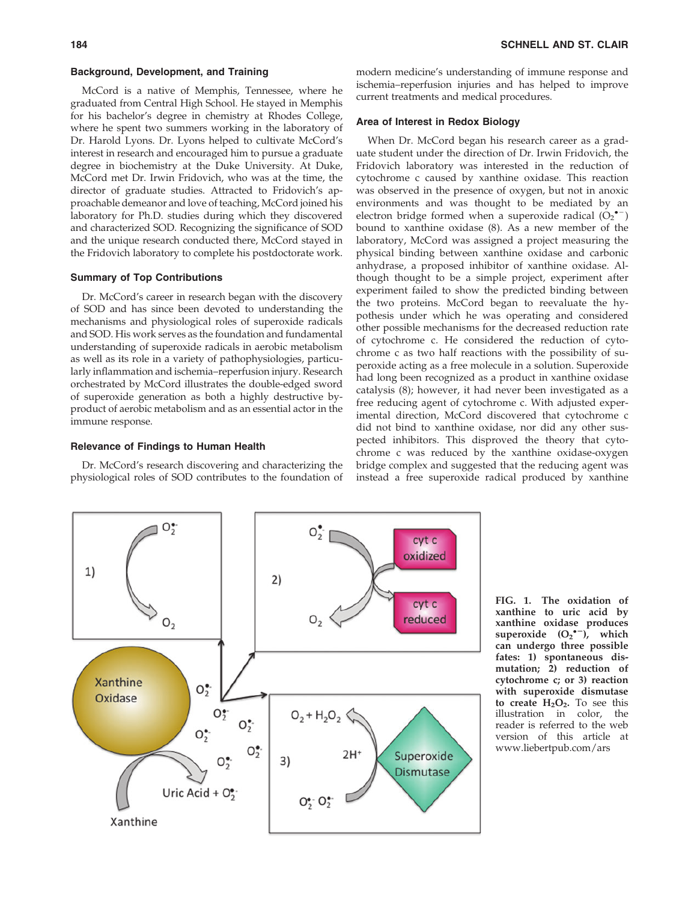#### Background, Development, and Training

McCord is a native of Memphis, Tennessee, where he graduated from Central High School. He stayed in Memphis for his bachelor's degree in chemistry at Rhodes College, where he spent two summers working in the laboratory of Dr. Harold Lyons. Dr. Lyons helped to cultivate McCord's interest in research and encouraged him to pursue a graduate degree in biochemistry at the Duke University. At Duke, McCord met Dr. Irwin Fridovich, who was at the time, the director of graduate studies. Attracted to Fridovich's approachable demeanor and love of teaching, McCord joined his laboratory for Ph.D. studies during which they discovered and characterized SOD. Recognizing the significance of SOD and the unique research conducted there, McCord stayed in the Fridovich laboratory to complete his postdoctorate work.

## Summary of Top Contributions

Dr. McCord's career in research began with the discovery of SOD and has since been devoted to understanding the mechanisms and physiological roles of superoxide radicals and SOD. His work serves as the foundation and fundamental understanding of superoxide radicals in aerobic metabolism as well as its role in a variety of pathophysiologies, particularly inflammation and ischemia–reperfusion injury. Research orchestrated by McCord illustrates the double-edged sword of superoxide generation as both a highly destructive byproduct of aerobic metabolism and as an essential actor in the immune response.

#### Relevance of Findings to Human Health

Dr. McCord's research discovering and characterizing the physiological roles of SOD contributes to the foundation of

modern medicine's understanding of immune response and ischemia–reperfusion injuries and has helped to improve current treatments and medical procedures.

### Area of Interest in Redox Biology

When Dr. McCord began his research career as a graduate student under the direction of Dr. Irwin Fridovich, the Fridovich laboratory was interested in the reduction of cytochrome c caused by xanthine oxidase. This reaction was observed in the presence of oxygen, but not in anoxic environments and was thought to be mediated by an electron bridge formed when a superoxide radical  $(O_2^{\bullet -})$ bound to xanthine oxidase (8). As a new member of the laboratory, McCord was assigned a project measuring the physical binding between xanthine oxidase and carbonic anhydrase, a proposed inhibitor of xanthine oxidase. Although thought to be a simple project, experiment after experiment failed to show the predicted binding between the two proteins. McCord began to reevaluate the hypothesis under which he was operating and considered other possible mechanisms for the decreased reduction rate of cytochrome c. He considered the reduction of cytochrome c as two half reactions with the possibility of superoxide acting as a free molecule in a solution. Superoxide had long been recognized as a product in xanthine oxidase catalysis (8); however, it had never been investigated as a free reducing agent of cytochrome c. With adjusted experimental direction, McCord discovered that cytochrome c did not bind to xanthine oxidase, nor did any other suspected inhibitors. This disproved the theory that cytochrome c was reduced by the xanthine oxidase-oxygen bridge complex and suggested that the reducing agent was instead a free superoxide radical produced by xanthine



FIG. 1. The oxidation of xanthine to uric acid by xanthine oxidase produces superoxide  $(O_2^{\bullet-})$ , which can undergo three possible fates: 1) spontaneous dismutation; 2) reduction of cytochrome c; or 3) reaction with superoxide dismutase to create  $H_2O_2$ . To see this illustration in color, the reader is referred to the web version of this article at www.liebertpub.com/ars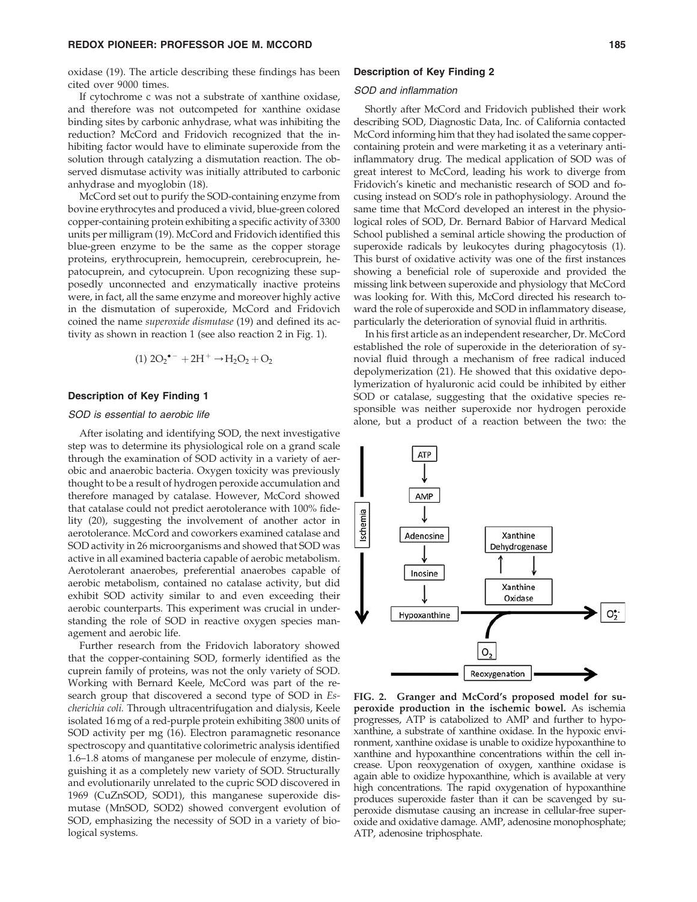oxidase (19). The article describing these findings has been cited over 9000 times.

If cytochrome c was not a substrate of xanthine oxidase, and therefore was not outcompeted for xanthine oxidase binding sites by carbonic anhydrase, what was inhibiting the reduction? McCord and Fridovich recognized that the inhibiting factor would have to eliminate superoxide from the solution through catalyzing a dismutation reaction. The observed dismutase activity was initially attributed to carbonic anhydrase and myoglobin (18).

McCord set out to purify the SOD-containing enzyme from bovine erythrocytes and produced a vivid, blue-green colored copper-containing protein exhibiting a specific activity of 3300 units per milligram (19). McCord and Fridovich identified this blue-green enzyme to be the same as the copper storage proteins, erythrocuprein, hemocuprein, cerebrocuprein, hepatocuprein, and cytocuprein. Upon recognizing these supposedly unconnected and enzymatically inactive proteins were, in fact, all the same enzyme and moreover highly active in the dismutation of superoxide, McCord and Fridovich coined the name superoxide dismutase (19) and defined its activity as shown in reaction 1 (see also reaction 2 in Fig. 1).

$$
(1) 2O_2^{\bullet -} + 2H^+ \rightarrow H_2O_2 + O_2
$$

### Description of Key Finding 1

# SOD is essential to aerobic life

After isolating and identifying SOD, the next investigative step was to determine its physiological role on a grand scale through the examination of SOD activity in a variety of aerobic and anaerobic bacteria. Oxygen toxicity was previously thought to be a result of hydrogen peroxide accumulation and therefore managed by catalase. However, McCord showed that catalase could not predict aerotolerance with 100% fidelity (20), suggesting the involvement of another actor in aerotolerance. McCord and coworkers examined catalase and SOD activity in 26 microorganisms and showed that SOD was active in all examined bacteria capable of aerobic metabolism. Aerotolerant anaerobes, preferential anaerobes capable of aerobic metabolism, contained no catalase activity, but did exhibit SOD activity similar to and even exceeding their aerobic counterparts. This experiment was crucial in understanding the role of SOD in reactive oxygen species management and aerobic life.

Further research from the Fridovich laboratory showed that the copper-containing SOD, formerly identified as the cuprein family of proteins, was not the only variety of SOD. Working with Bernard Keele, McCord was part of the research group that discovered a second type of SOD in Escherichia coli. Through ultracentrifugation and dialysis, Keele isolated 16 mg of a red-purple protein exhibiting 3800 units of SOD activity per mg (16). Electron paramagnetic resonance spectroscopy and quantitative colorimetric analysis identified 1.6–1.8 atoms of manganese per molecule of enzyme, distinguishing it as a completely new variety of SOD. Structurally and evolutionarily unrelated to the cupric SOD discovered in 1969 (CuZnSOD, SOD1), this manganese superoxide dismutase (MnSOD, SOD2) showed convergent evolution of SOD, emphasizing the necessity of SOD in a variety of biological systems.

### Description of Key Finding 2

#### SOD and inflammation

Shortly after McCord and Fridovich published their work describing SOD, Diagnostic Data, Inc. of California contacted McCord informing him that they had isolated the same coppercontaining protein and were marketing it as a veterinary antiinflammatory drug. The medical application of SOD was of great interest to McCord, leading his work to diverge from Fridovich's kinetic and mechanistic research of SOD and focusing instead on SOD's role in pathophysiology. Around the same time that McCord developed an interest in the physiological roles of SOD, Dr. Bernard Babior of Harvard Medical School published a seminal article showing the production of superoxide radicals by leukocytes during phagocytosis (1). This burst of oxidative activity was one of the first instances showing a beneficial role of superoxide and provided the missing link between superoxide and physiology that McCord was looking for. With this, McCord directed his research toward the role of superoxide and SOD in inflammatory disease, particularly the deterioration of synovial fluid in arthritis.

In his first article as an independent researcher, Dr. McCord established the role of superoxide in the deterioration of synovial fluid through a mechanism of free radical induced depolymerization (21). He showed that this oxidative depolymerization of hyaluronic acid could be inhibited by either SOD or catalase, suggesting that the oxidative species responsible was neither superoxide nor hydrogen peroxide alone, but a product of a reaction between the two: the

**ATP** AMP Ischemia Adenosine **Xanthine** Dehydrogenase Inosine Xanthine Oxidase Hypoxanthine  $O_{2}^{*}$ O Reoxygenation

FIG. 2. Granger and McCord's proposed model for superoxide production in the ischemic bowel. As ischemia progresses, ATP is catabolized to AMP and further to hypoxanthine, a substrate of xanthine oxidase. In the hypoxic environment, xanthine oxidase is unable to oxidize hypoxanthine to xanthine and hypoxanthine concentrations within the cell increase. Upon reoxygenation of oxygen, xanthine oxidase is again able to oxidize hypoxanthine, which is available at very high concentrations. The rapid oxygenation of hypoxanthine produces superoxide faster than it can be scavenged by superoxide dismutase causing an increase in cellular-free superoxide and oxidative damage. AMP, adenosine monophosphate; ATP, adenosine triphosphate.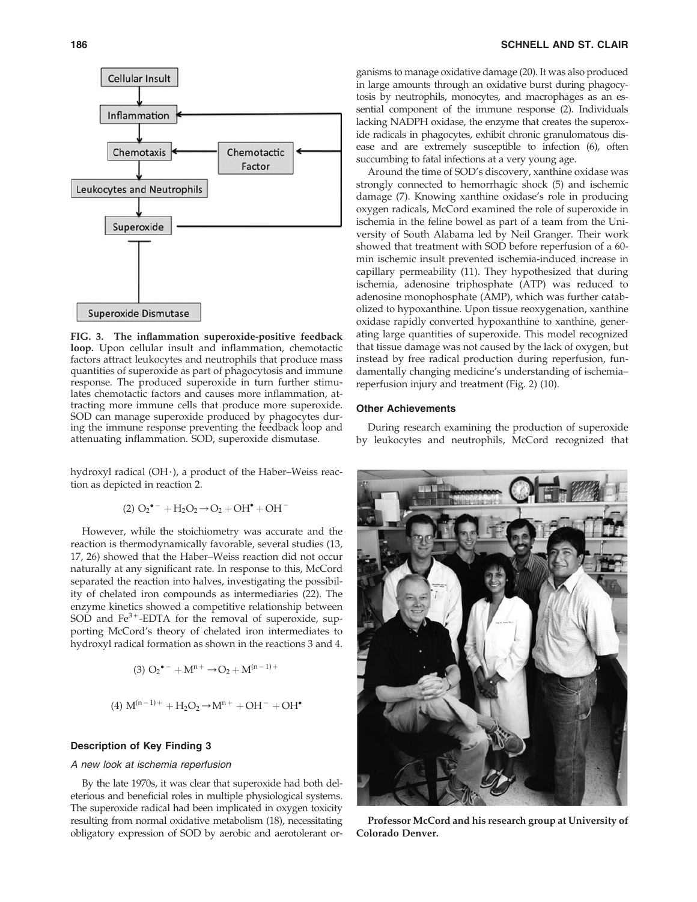

FIG. 3. The inflammation superoxide-positive feedback loop. Upon cellular insult and inflammation, chemotactic factors attract leukocytes and neutrophils that produce mass quantities of superoxide as part of phagocytosis and immune response. The produced superoxide in turn further stimulates chemotactic factors and causes more inflammation, attracting more immune cells that produce more superoxide. SOD can manage superoxide produced by phagocytes during the immune response preventing the feedback loop and attenuating inflammation. SOD, superoxide dismutase.

hydroxyl radical  $(OH·)$ , a product of the Haber–Weiss reaction as depicted in reaction 2.

$$
(2)~{O_2}^{\bullet\,-} + H_2O_2 \!\to\! O_2 + OH^{\bullet} + OH^-
$$

However, while the stoichiometry was accurate and the reaction is thermodynamically favorable, several studies (13, 17, 26) showed that the Haber–Weiss reaction did not occur naturally at any significant rate. In response to this, McCord separated the reaction into halves, investigating the possibility of chelated iron compounds as intermediaries (22). The enzyme kinetics showed a competitive relationship between SOD and  $Fe<sup>3+</sup>$ -EDTA for the removal of superoxide, supporting McCord's theory of chelated iron intermediates to hydroxyl radical formation as shown in the reactions 3 and 4.

$$
(3) O_2^{\bullet -} + M^{n+} \to O_2 + M^{(n-1)+}
$$

(4) 
$$
M^{(n-1)+} + H_2O_2 \rightarrow M^{n+} + OH^- + OH^{\bullet}
$$

## Description of Key Finding 3

# A new look at ischemia reperfusion

By the late 1970s, it was clear that superoxide had both deleterious and beneficial roles in multiple physiological systems. The superoxide radical had been implicated in oxygen toxicity resulting from normal oxidative metabolism (18), necessitating obligatory expression of SOD by aerobic and aerotolerant organisms to manage oxidative damage (20). It was also produced in large amounts through an oxidative burst during phagocytosis by neutrophils, monocytes, and macrophages as an essential component of the immune response (2). Individuals lacking NADPH oxidase, the enzyme that creates the superoxide radicals in phagocytes, exhibit chronic granulomatous disease and are extremely susceptible to infection (6), often succumbing to fatal infections at a very young age.

Around the time of SOD's discovery, xanthine oxidase was strongly connected to hemorrhagic shock (5) and ischemic damage (7). Knowing xanthine oxidase's role in producing oxygen radicals, McCord examined the role of superoxide in ischemia in the feline bowel as part of a team from the University of South Alabama led by Neil Granger. Their work showed that treatment with SOD before reperfusion of a 60 min ischemic insult prevented ischemia-induced increase in capillary permeability (11). They hypothesized that during ischemia, adenosine triphosphate (ATP) was reduced to adenosine monophosphate (AMP), which was further catabolized to hypoxanthine. Upon tissue reoxygenation, xanthine oxidase rapidly converted hypoxanthine to xanthine, generating large quantities of superoxide. This model recognized that tissue damage was not caused by the lack of oxygen, but instead by free radical production during reperfusion, fundamentally changing medicine's understanding of ischemia– reperfusion injury and treatment (Fig. 2) (10).

#### Other Achievements

During research examining the production of superoxide by leukocytes and neutrophils, McCord recognized that



Professor McCord and his research group at University of Colorado Denver.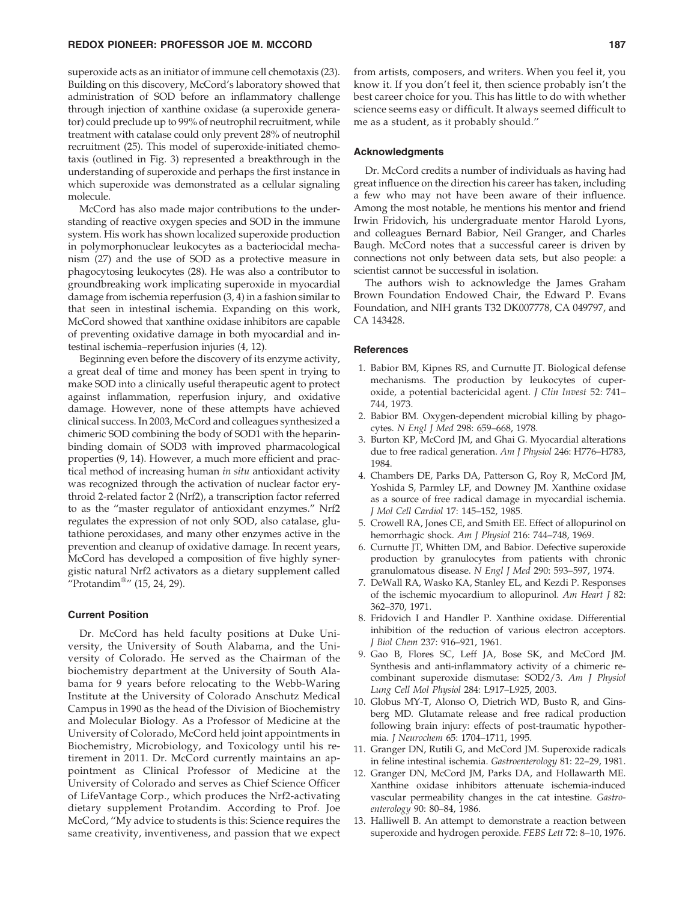# REDOX PIONEER: PROFESSOR JOE M. MCCORD 187

superoxide acts as an initiator of immune cell chemotaxis (23). Building on this discovery, McCord's laboratory showed that administration of SOD before an inflammatory challenge through injection of xanthine oxidase (a superoxide generator) could preclude up to 99% of neutrophil recruitment, while treatment with catalase could only prevent 28% of neutrophil recruitment (25). This model of superoxide-initiated chemotaxis (outlined in Fig. 3) represented a breakthrough in the understanding of superoxide and perhaps the first instance in which superoxide was demonstrated as a cellular signaling molecule.

McCord has also made major contributions to the understanding of reactive oxygen species and SOD in the immune system. His work has shown localized superoxide production in polymorphonuclear leukocytes as a bacteriocidal mechanism (27) and the use of SOD as a protective measure in phagocytosing leukocytes (28). He was also a contributor to groundbreaking work implicating superoxide in myocardial damage from ischemia reperfusion (3, 4) in a fashion similar to that seen in intestinal ischemia. Expanding on this work, McCord showed that xanthine oxidase inhibitors are capable of preventing oxidative damage in both myocardial and intestinal ischemia–reperfusion injuries (4, 12).

Beginning even before the discovery of its enzyme activity, a great deal of time and money has been spent in trying to make SOD into a clinically useful therapeutic agent to protect against inflammation, reperfusion injury, and oxidative damage. However, none of these attempts have achieved clinical success. In 2003, McCord and colleagues synthesized a chimeric SOD combining the body of SOD1 with the heparinbinding domain of SOD3 with improved pharmacological properties (9, 14). However, a much more efficient and practical method of increasing human in situ antioxidant activity was recognized through the activation of nuclear factor erythroid 2-related factor 2 (Nrf2), a transcription factor referred to as the ''master regulator of antioxidant enzymes.'' Nrf2 regulates the expression of not only SOD, also catalase, glutathione peroxidases, and many other enzymes active in the prevention and cleanup of oxidative damage. In recent years, McCord has developed a composition of five highly synergistic natural Nrf2 activators as a dietary supplement called "Protandim®" (15, 24, 29).

### Current Position

Dr. McCord has held faculty positions at Duke University, the University of South Alabama, and the University of Colorado. He served as the Chairman of the biochemistry department at the University of South Alabama for 9 years before relocating to the Webb-Waring Institute at the University of Colorado Anschutz Medical Campus in 1990 as the head of the Division of Biochemistry and Molecular Biology. As a Professor of Medicine at the University of Colorado, McCord held joint appointments in Biochemistry, Microbiology, and Toxicology until his retirement in 2011. Dr. McCord currently maintains an appointment as Clinical Professor of Medicine at the University of Colorado and serves as Chief Science Officer of LifeVantage Corp., which produces the Nrf2-activating dietary supplement Protandim. According to Prof. Joe McCord, ''My advice to students is this: Science requires the same creativity, inventiveness, and passion that we expect from artists, composers, and writers. When you feel it, you know it. If you don't feel it, then science probably isn't the best career choice for you. This has little to do with whether science seems easy or difficult. It always seemed difficult to me as a student, as it probably should.''

#### Acknowledgments

Dr. McCord credits a number of individuals as having had great influence on the direction his career has taken, including a few who may not have been aware of their influence. Among the most notable, he mentions his mentor and friend Irwin Fridovich, his undergraduate mentor Harold Lyons, and colleagues Bernard Babior, Neil Granger, and Charles Baugh. McCord notes that a successful career is driven by connections not only between data sets, but also people: a scientist cannot be successful in isolation.

The authors wish to acknowledge the James Graham Brown Foundation Endowed Chair, the Edward P. Evans Foundation, and NIH grants T32 DK007778, CA 049797, and CA 143428.

#### References

- 1. Babior BM, Kipnes RS, and Curnutte JT. Biological defense mechanisms. The production by leukocytes of cuperoxide, a potential bactericidal agent. J Clin Invest 52: 741– 744, 1973.
- 2. Babior BM. Oxygen-dependent microbial killing by phagocytes. N Engl J Med 298: 659–668, 1978.
- 3. Burton KP, McCord JM, and Ghai G. Myocardial alterations due to free radical generation. Am J Physiol 246: H776–H783, 1984.
- 4. Chambers DE, Parks DA, Patterson G, Roy R, McCord JM, Yoshida S, Parmley LF, and Downey JM. Xanthine oxidase as a source of free radical damage in myocardial ischemia. J Mol Cell Cardiol 17: 145–152, 1985.
- 5. Crowell RA, Jones CE, and Smith EE. Effect of allopurinol on hemorrhagic shock. Am J Physiol 216: 744-748, 1969.
- 6. Curnutte JT, Whitten DM, and Babior. Defective superoxide production by granulocytes from patients with chronic granulomatous disease. N Engl J Med 290: 593–597, 1974.
- 7. DeWall RA, Wasko KA, Stanley EL, and Kezdi P. Responses of the ischemic myocardium to allopurinol. Am Heart J 82: 362–370, 1971.
- 8. Fridovich I and Handler P. Xanthine oxidase. Differential inhibition of the reduction of various electron acceptors. J Biol Chem 237: 916–921, 1961.
- 9. Gao B, Flores SC, Leff JA, Bose SK, and McCord JM. Synthesis and anti-inflammatory activity of a chimeric recombinant superoxide dismutase: SOD2/3. Am J Physiol Lung Cell Mol Physiol 284: L917–L925, 2003.
- 10. Globus MY-T, Alonso O, Dietrich WD, Busto R, and Ginsberg MD. Glutamate release and free radical production following brain injury: effects of post-traumatic hypothermia. J Neurochem 65: 1704–1711, 1995.
- 11. Granger DN, Rutili G, and McCord JM. Superoxide radicals in feline intestinal ischemia. Gastroenterology 81: 22–29, 1981.
- 12. Granger DN, McCord JM, Parks DA, and Hollawarth ME. Xanthine oxidase inhibitors attenuate ischemia-induced vascular permeability changes in the cat intestine. Gastroenterology 90: 80–84, 1986.
- 13. Halliwell B. An attempt to demonstrate a reaction between superoxide and hydrogen peroxide. FEBS Lett 72: 8–10, 1976.